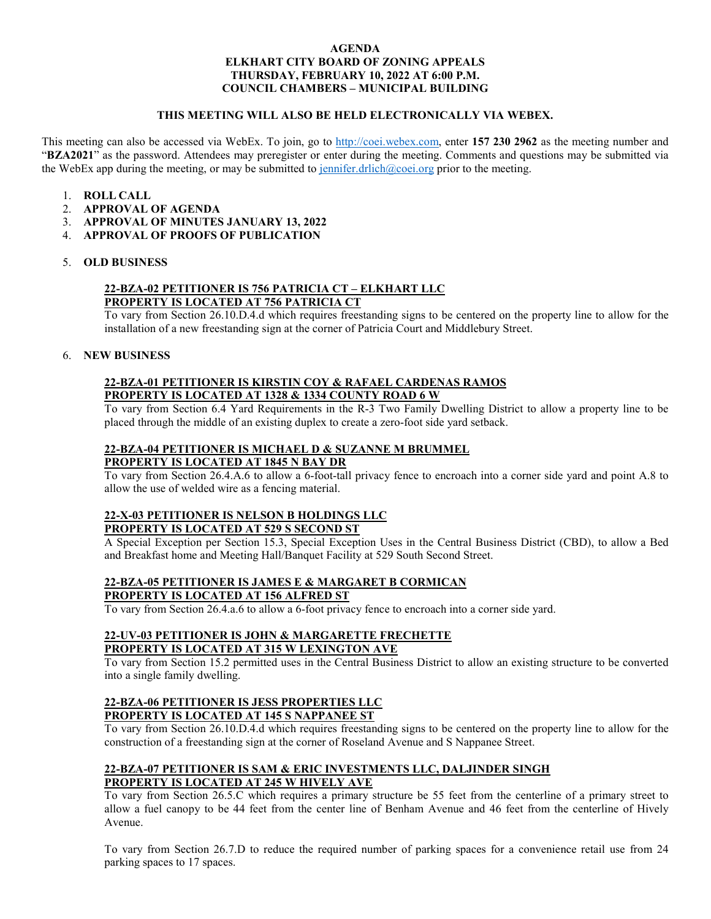#### **AGENDA ELKHART CITY BOARD OF ZONING APPEALS THURSDAY, FEBRUARY 10, 2022 AT 6:00 P.M. COUNCIL CHAMBERS – MUNICIPAL BUILDING**

#### **THIS MEETING WILL ALSO BE HELD ELECTRONICALLY VIA WEBEX.**

This meeting can also be accessed via WebEx. To join, go to [http://coei.webex.com,](http://coei.webex.com/) enter **157 230 2962** as the meeting number and "**BZA2021**" as the password. Attendees may preregister or enter during the meeting. Comments and questions may be submitted via the WebEx app during the meeting, or may be submitted to [jennifer.drlich@coei.org](mailto:jennifer.drlich@coei.org) prior to the meeting.

- 1. **ROLL CALL**
- 2. **APPROVAL OF AGENDA**
- 3. **APPROVAL OF MINUTES JANUARY 13, 2022**
- 4. **APPROVAL OF PROOFS OF PUBLICATION**

#### 5. **OLD BUSINESS**

# **22-BZA-02 PETITIONER IS 756 PATRICIA CT – ELKHART LLC**

**PROPERTY IS LOCATED AT 756 PATRICIA CT**

To vary from Section 26.10.D.4.d which requires freestanding signs to be centered on the property line to allow for the installation of a new freestanding sign at the corner of Patricia Court and Middlebury Street.

#### 6. **NEW BUSINESS**

### **22-BZA-01 PETITIONER IS KIRSTIN COY & RAFAEL CARDENAS RAMOS PROPERTY IS LOCATED AT 1328 & 1334 COUNTY ROAD 6 W**

To vary from Section 6.4 Yard Requirements in the R-3 Two Family Dwelling District to allow a property line to be placed through the middle of an existing duplex to create a zero-foot side yard setback.

# **22-BZA-04 PETITIONER IS MICHAEL D & SUZANNE M BRUMMEL PROPERTY IS LOCATED AT 1845 N BAY DR**

To vary from Section 26.4.A.6 to allow a 6-foot-tall privacy fence to encroach into a corner side yard and point A.8 to allow the use of welded wire as a fencing material.

#### **22-X-03 PETITIONER IS NELSON B HOLDINGS LLC PROPERTY IS LOCATED AT 529 S SECOND ST**

A Special Exception per Section 15.3, Special Exception Uses in the Central Business District (CBD), to allow a Bed and Breakfast home and Meeting Hall/Banquet Facility at 529 South Second Street.

#### **22-BZA-05 PETITIONER IS JAMES E & MARGARET B CORMICAN PROPERTY IS LOCATED AT 156 ALFRED ST**

To vary from Section 26.4.a.6 to allow a 6-foot privacy fence to encroach into a corner side yard.

#### **22-UV-03 PETITIONER IS JOHN & MARGARETTE FRECHETTE PROPERTY IS LOCATED AT 315 W LEXINGTON AVE**

To vary from Section 15.2 permitted uses in the Central Business District to allow an existing structure to be converted into a single family dwelling.

## **22-BZA-06 PETITIONER IS JESS PROPERTIES LLC PROPERTY IS LOCATED AT 145 S NAPPANEE ST**

To vary from Section 26.10.D.4.d which requires freestanding signs to be centered on the property line to allow for the construction of a freestanding sign at the corner of Roseland Avenue and S Nappanee Street.

## **22-BZA-07 PETITIONER IS SAM & ERIC INVESTMENTS LLC, DALJINDER SINGH PROPERTY IS LOCATED AT 245 W HIVELY AVE**

To vary from Section 26.5.C which requires a primary structure be 55 feet from the centerline of a primary street to allow a fuel canopy to be 44 feet from the center line of Benham Avenue and 46 feet from the centerline of Hively Avenue.

To vary from Section 26.7.D to reduce the required number of parking spaces for a convenience retail use from 24 parking spaces to 17 spaces.